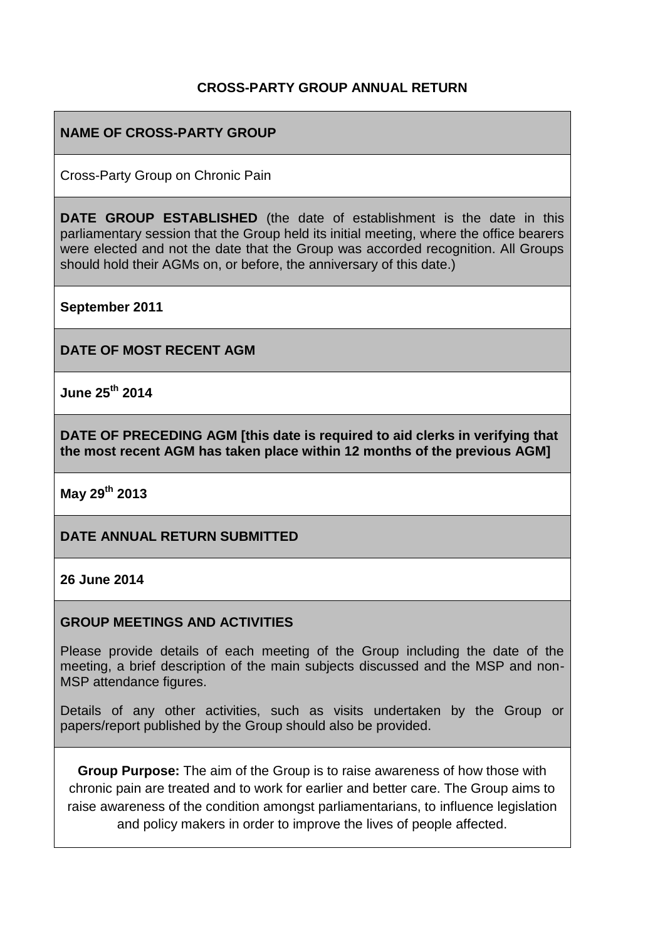## **CROSS-PARTY GROUP ANNUAL RETURN**

## **NAME OF CROSS-PARTY GROUP**

Cross-Party Group on Chronic Pain

**DATE GROUP ESTABLISHED** (the date of establishment is the date in this parliamentary session that the Group held its initial meeting, where the office bearers were elected and not the date that the Group was accorded recognition. All Groups should hold their AGMs on, or before, the anniversary of this date.)

**September 2011**

**DATE OF MOST RECENT AGM**

**June 25th 2014**

**DATE OF PRECEDING AGM [this date is required to aid clerks in verifying that the most recent AGM has taken place within 12 months of the previous AGM]**

**May 29th 2013**

### **DATE ANNUAL RETURN SUBMITTED**

#### **26 June 2014**

#### **GROUP MEETINGS AND ACTIVITIES**

Please provide details of each meeting of the Group including the date of the meeting, a brief description of the main subjects discussed and the MSP and non-MSP attendance figures.

Details of any other activities, such as visits undertaken by the Group or papers/report published by the Group should also be provided.

**Group Purpose:** The aim of the Group is to raise awareness of how those with chronic pain are treated and to work for earlier and better care. The Group aims to raise awareness of the condition amongst parliamentarians, to influence legislation and policy makers in order to improve the lives of people affected.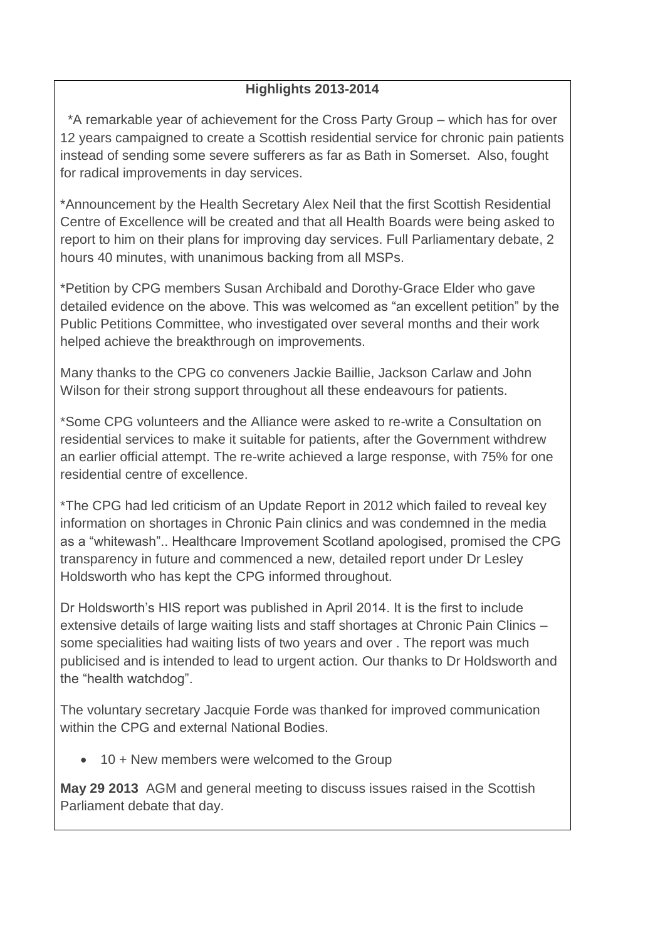# **Highlights 2013-2014**

 \*A remarkable year of achievement for the Cross Party Group – which has for over 12 years campaigned to create a Scottish residential service for chronic pain patients instead of sending some severe sufferers as far as Bath in Somerset. Also, fought for radical improvements in day services.

\*Announcement by the Health Secretary Alex Neil that the first Scottish Residential Centre of Excellence will be created and that all Health Boards were being asked to report to him on their plans for improving day services. Full Parliamentary debate, 2 hours 40 minutes, with unanimous backing from all MSPs.

\*Petition by CPG members Susan Archibald and Dorothy-Grace Elder who gave detailed evidence on the above. This was welcomed as "an excellent petition" by the Public Petitions Committee, who investigated over several months and their work helped achieve the breakthrough on improvements.

Many thanks to the CPG co conveners Jackie Baillie, Jackson Carlaw and John Wilson for their strong support throughout all these endeavours for patients.

\*Some CPG volunteers and the Alliance were asked to re-write a Consultation on residential services to make it suitable for patients, after the Government withdrew an earlier official attempt. The re-write achieved a large response, with 75% for one residential centre of excellence.

\*The CPG had led criticism of an Update Report in 2012 which failed to reveal key information on shortages in Chronic Pain clinics and was condemned in the media as a "whitewash".. Healthcare Improvement Scotland apologised, promised the CPG transparency in future and commenced a new, detailed report under Dr Lesley Holdsworth who has kept the CPG informed throughout.

Dr Holdsworth's HIS report was published in April 2014. It is the first to include extensive details of large waiting lists and staff shortages at Chronic Pain Clinics – some specialities had waiting lists of two years and over . The report was much publicised and is intended to lead to urgent action. Our thanks to Dr Holdsworth and the "health watchdog".

The voluntary secretary Jacquie Forde was thanked for improved communication within the CPG and external National Bodies.

• 10 + New members were welcomed to the Group

**May 29 2013** AGM and general meeting to discuss issues raised in the Scottish Parliament debate that day.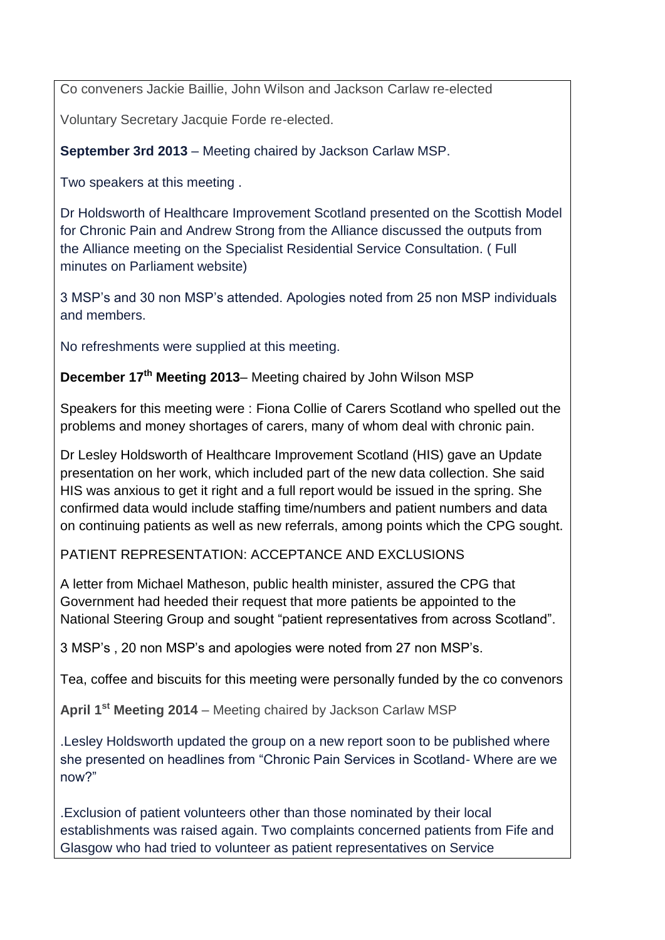Co conveners Jackie Baillie, John Wilson and Jackson Carlaw re-elected

Voluntary Secretary Jacquie Forde re-elected.

**September 3rd 2013** – Meeting chaired by Jackson Carlaw MSP.

Two speakers at this meeting .

Dr Holdsworth of Healthcare Improvement Scotland presented on the Scottish Model for Chronic Pain and Andrew Strong from the Alliance discussed the outputs from the Alliance meeting on the Specialist Residential Service Consultation. ( Full minutes on Parliament website)

3 MSP's and 30 non MSP's attended. Apologies noted from 25 non MSP individuals and members.

No refreshments were supplied at this meeting.

**December 17th Meeting 2013**– Meeting chaired by John Wilson MSP

Speakers for this meeting were : Fiona Collie of Carers Scotland who spelled out the problems and money shortages of carers, many of whom deal with chronic pain.

Dr Lesley Holdsworth of Healthcare Improvement Scotland (HIS) gave an Update presentation on her work, which included part of the new data collection. She said HIS was anxious to get it right and a full report would be issued in the spring. She confirmed data would include staffing time/numbers and patient numbers and data on continuing patients as well as new referrals, among points which the CPG sought.

PATIENT REPRESENTATION: ACCEPTANCE AND EXCLUSIONS

A letter from Michael Matheson, public health minister, assured the CPG that Government had heeded their request that more patients be appointed to the National Steering Group and sought "patient representatives from across Scotland".

3 MSP's , 20 non MSP's and apologies were noted from 27 non MSP's.

Tea, coffee and biscuits for this meeting were personally funded by the co convenors

**April 1st Meeting 2014** – Meeting chaired by Jackson Carlaw MSP

.Lesley Holdsworth updated the group on a new report soon to be published where she presented on headlines from "Chronic Pain Services in Scotland- Where are we now?"

.Exclusion of patient volunteers other than those nominated by their local establishments was raised again. Two complaints concerned patients from Fife and Glasgow who had tried to volunteer as patient representatives on Service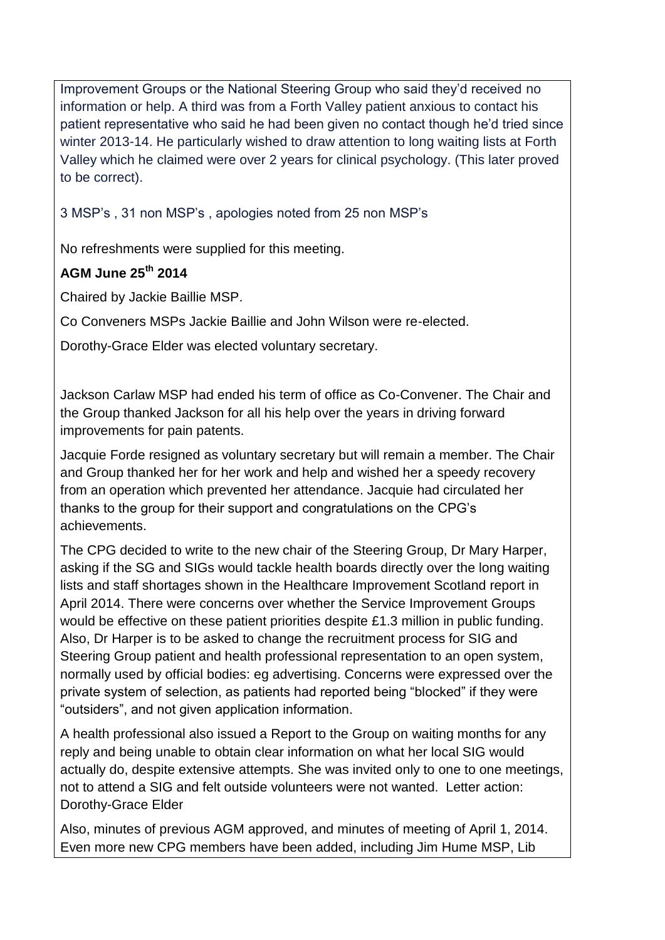Improvement Groups or the National Steering Group who said they'd received no information or help. A third was from a Forth Valley patient anxious to contact his patient representative who said he had been given no contact though he'd tried since winter 2013-14. He particularly wished to draw attention to long waiting lists at Forth Valley which he claimed were over 2 years for clinical psychology. (This later proved to be correct).

3 MSP's , 31 non MSP's , apologies noted from 25 non MSP's

No refreshments were supplied for this meeting.

# **AGM June 25th 2014**

Chaired by Jackie Baillie MSP.

Co Conveners MSPs Jackie Baillie and John Wilson were re-elected.

Dorothy-Grace Elder was elected voluntary secretary.

Jackson Carlaw MSP had ended his term of office as Co-Convener. The Chair and the Group thanked Jackson for all his help over the years in driving forward improvements for pain patents.

Jacquie Forde resigned as voluntary secretary but will remain a member. The Chair and Group thanked her for her work and help and wished her a speedy recovery from an operation which prevented her attendance. Jacquie had circulated her thanks to the group for their support and congratulations on the CPG's achievements.

The CPG decided to write to the new chair of the Steering Group, Dr Mary Harper, asking if the SG and SIGs would tackle health boards directly over the long waiting lists and staff shortages shown in the Healthcare Improvement Scotland report in April 2014. There were concerns over whether the Service Improvement Groups would be effective on these patient priorities despite £1.3 million in public funding. Also, Dr Harper is to be asked to change the recruitment process for SIG and Steering Group patient and health professional representation to an open system, normally used by official bodies: eg advertising. Concerns were expressed over the private system of selection, as patients had reported being "blocked" if they were "outsiders", and not given application information.

A health professional also issued a Report to the Group on waiting months for any reply and being unable to obtain clear information on what her local SIG would actually do, despite extensive attempts. She was invited only to one to one meetings, not to attend a SIG and felt outside volunteers were not wanted. Letter action: Dorothy-Grace Elder

Also, minutes of previous AGM approved, and minutes of meeting of April 1, 2014. Even more new CPG members have been added, including Jim Hume MSP, Lib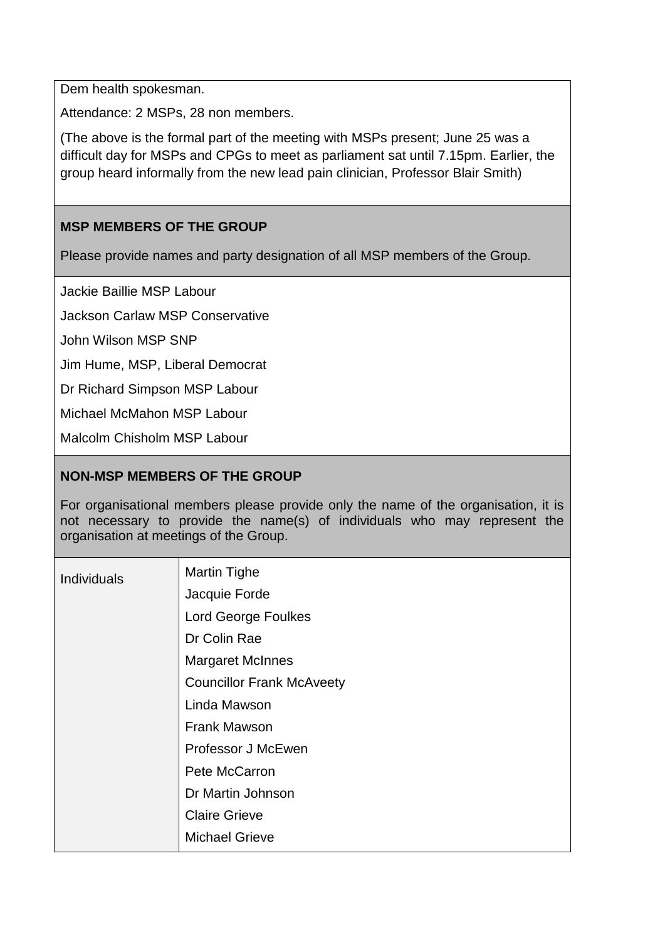Dem health spokesman.

Attendance: 2 MSPs, 28 non members.

(The above is the formal part of the meeting with MSPs present; June 25 was a difficult day for MSPs and CPGs to meet as parliament sat until 7.15pm. Earlier, the group heard informally from the new lead pain clinician, Professor Blair Smith)

## **MSP MEMBERS OF THE GROUP**

Please provide names and party designation of all MSP members of the Group.

Jackie Baillie MSP Labour

Jackson Carlaw MSP Conservative

John Wilson MSP SNP

Jim Hume, MSP, Liberal Democrat

Dr Richard Simpson MSP Labour

Michael McMahon MSP Labour

Malcolm Chisholm MSP Labour

## **NON-MSP MEMBERS OF THE GROUP**

For organisational members please provide only the name of the organisation, it is not necessary to provide the name(s) of individuals who may represent the organisation at meetings of the Group.

| Individuals | <b>Martin Tighe</b>              |
|-------------|----------------------------------|
|             | Jacquie Forde                    |
|             | <b>Lord George Foulkes</b>       |
|             | Dr Colin Rae                     |
|             | <b>Margaret McInnes</b>          |
|             | <b>Councillor Frank McAveety</b> |
|             | Linda Mawson                     |
|             | <b>Frank Mawson</b>              |
|             | Professor J McEwen               |
|             | Pete McCarron                    |
|             | Dr Martin Johnson                |
|             | <b>Claire Grieve</b>             |
|             | <b>Michael Grieve</b>            |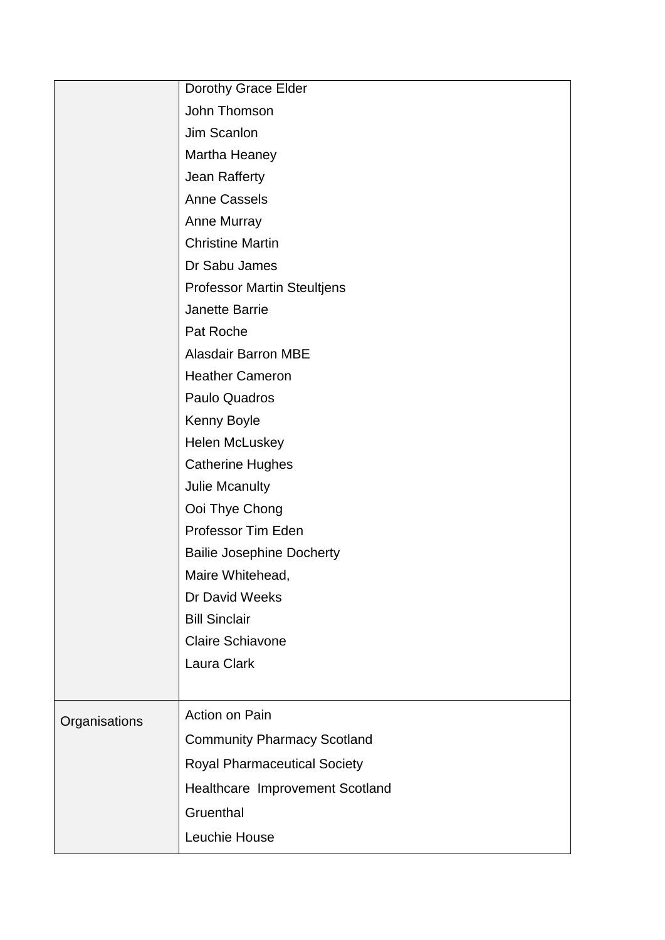|               | Dorothy Grace Elder                 |
|---------------|-------------------------------------|
|               | John Thomson                        |
|               | Jim Scanlon                         |
|               | Martha Heaney                       |
|               | Jean Rafferty                       |
|               | <b>Anne Cassels</b>                 |
|               | Anne Murray                         |
|               | <b>Christine Martin</b>             |
|               | Dr Sabu James                       |
|               | <b>Professor Martin Steultjens</b>  |
|               | Janette Barrie                      |
|               | Pat Roche                           |
|               | <b>Alasdair Barron MBE</b>          |
|               | <b>Heather Cameron</b>              |
|               | Paulo Quadros                       |
|               | Kenny Boyle                         |
|               | Helen McLuskey                      |
|               | <b>Catherine Hughes</b>             |
|               | Julie Mcanulty                      |
|               | Ooi Thye Chong                      |
|               | Professor Tim Eden                  |
|               | <b>Bailie Josephine Docherty</b>    |
|               | Maire Whitehead,                    |
|               | Dr David Weeks                      |
|               | <b>Bill Sinclair</b>                |
|               | <b>Claire Schiavone</b>             |
|               | Laura Clark                         |
|               |                                     |
| Organisations | Action on Pain                      |
|               | <b>Community Pharmacy Scotland</b>  |
|               | <b>Royal Pharmaceutical Society</b> |
|               | Healthcare Improvement Scotland     |
|               | Gruenthal                           |
|               | Leuchie House                       |
|               |                                     |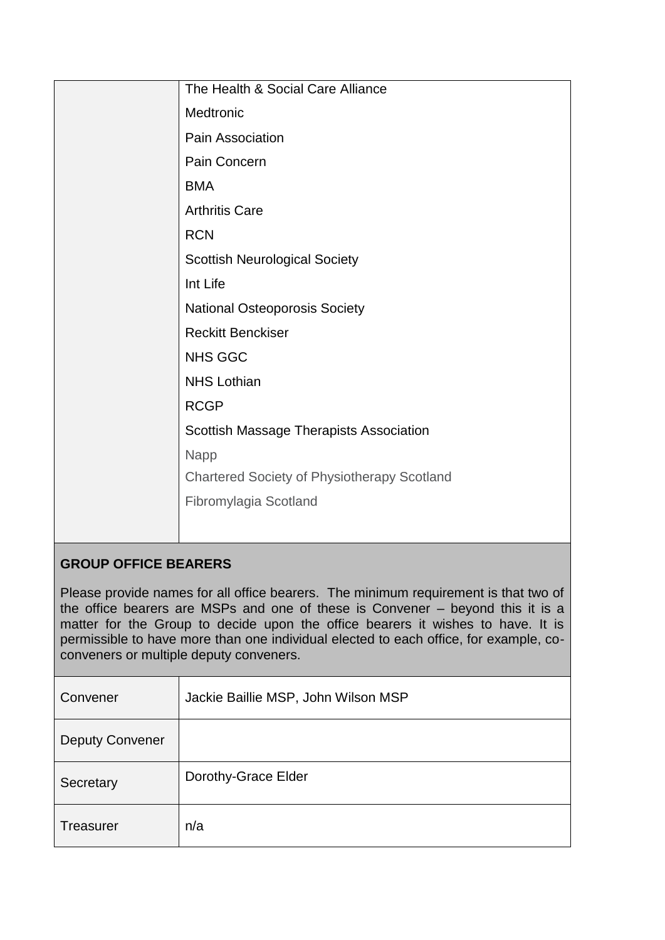| The Health & Social Care Alliance                  |
|----------------------------------------------------|
| Medtronic                                          |
| Pain Association                                   |
| Pain Concern                                       |
| <b>BMA</b>                                         |
| <b>Arthritis Care</b>                              |
| <b>RCN</b>                                         |
| <b>Scottish Neurological Society</b>               |
| Int Life                                           |
| <b>National Osteoporosis Society</b>               |
| <b>Reckitt Benckiser</b>                           |
| <b>NHS GGC</b>                                     |
| <b>NHS Lothian</b>                                 |
| <b>RCGP</b>                                        |
| Scottish Massage Therapists Association            |
| <b>Napp</b>                                        |
| <b>Chartered Society of Physiotherapy Scotland</b> |
| Fibromylagia Scotland                              |
|                                                    |
|                                                    |

# **GROUP OFFICE BEARERS**

Please provide names for all office bearers. The minimum requirement is that two of the office bearers are MSPs and one of these is Convener – beyond this it is a matter for the Group to decide upon the office bearers it wishes to have. It is permissible to have more than one individual elected to each office, for example, coconveners or multiple deputy conveners.

| Convener               | Jackie Baillie MSP, John Wilson MSP |
|------------------------|-------------------------------------|
| <b>Deputy Convener</b> |                                     |
| Secretary              | Dorothy-Grace Elder                 |
| <b>Treasurer</b>       | n/a                                 |